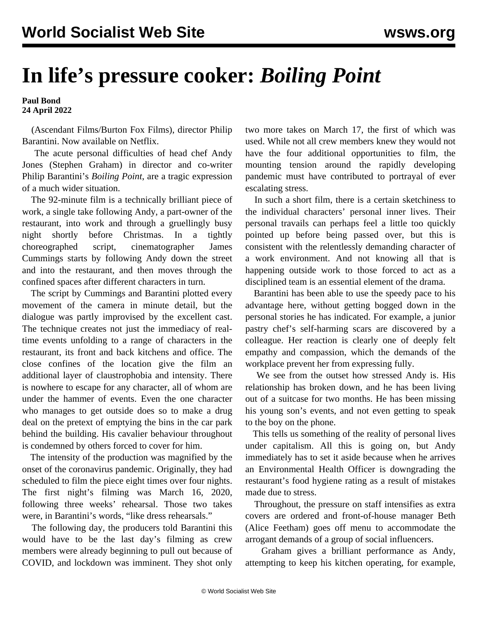## **In life's pressure cooker:** *Boiling Point*

**Paul Bond 24 April 2022**

 (Ascendant Films/Burton Fox Films), director Philip Barantini. Now available on Netflix.

 The acute personal difficulties of head chef Andy Jones (Stephen Graham) in director and co-writer Philip Barantini's *Boiling Point*, are a tragic expression of a much wider situation.

 The 92-minute film is a technically brilliant piece of work, a single take following Andy, a part-owner of the restaurant, into work and through a gruellingly busy night shortly before Christmas. In a tightly choreographed script, cinematographer James Cummings starts by following Andy down the street and into the restaurant, and then moves through the confined spaces after different characters in turn.

 The script by Cummings and Barantini plotted every movement of the camera in minute detail, but the dialogue was partly improvised by the excellent cast. The technique creates not just the immediacy of realtime events unfolding to a range of characters in the restaurant, its front and back kitchens and office. The close confines of the location give the film an additional layer of claustrophobia and intensity. There is nowhere to escape for any character, all of whom are under the hammer of events. Even the one character who manages to get outside does so to make a drug deal on the pretext of emptying the bins in the car park behind the building. His cavalier behaviour throughout is condemned by others forced to cover for him.

 The intensity of the production was magnified by the onset of the coronavirus pandemic. Originally, they had scheduled to film the piece eight times over four nights. The first night's filming was March 16, 2020, following three weeks' rehearsal. Those two takes were, in Barantini's words, "like dress rehearsals."

 The following day, the producers told Barantini this would have to be the last day's filming as crew members were already beginning to pull out because of COVID, and lockdown was imminent. They shot only

two more takes on March 17, the first of which was used. While not all crew members knew they would not have the four additional opportunities to film, the mounting tension around the rapidly developing pandemic must have contributed to portrayal of ever escalating stress.

 In such a short film, there is a certain sketchiness to the individual characters' personal inner lives. Their personal travails can perhaps feel a little too quickly pointed up before being passed over, but this is consistent with the relentlessly demanding character of a work environment. And not knowing all that is happening outside work to those forced to act as a disciplined team is an essential element of the drama.

 Barantini has been able to use the speedy pace to his advantage here, without getting bogged down in the personal stories he has indicated. For example, a junior pastry chef's self-harming scars are discovered by a colleague. Her reaction is clearly one of deeply felt empathy and compassion, which the demands of the workplace prevent her from expressing fully.

 We see from the outset how stressed Andy is. His relationship has broken down, and he has been living out of a suitcase for two months. He has been missing his young son's events, and not even getting to speak to the boy on the phone.

 This tells us something of the reality of personal lives under capitalism. All this is going on, but Andy immediately has to set it aside because when he arrives an Environmental Health Officer is downgrading the restaurant's food hygiene rating as a result of mistakes made due to stress.

 Throughout, the pressure on staff intensifies as extra covers are ordered and front-of-house manager Beth (Alice Feetham) goes off menu to accommodate the arrogant demands of a group of social influencers.

 Graham gives a brilliant performance as Andy, attempting to keep his kitchen operating, for example,